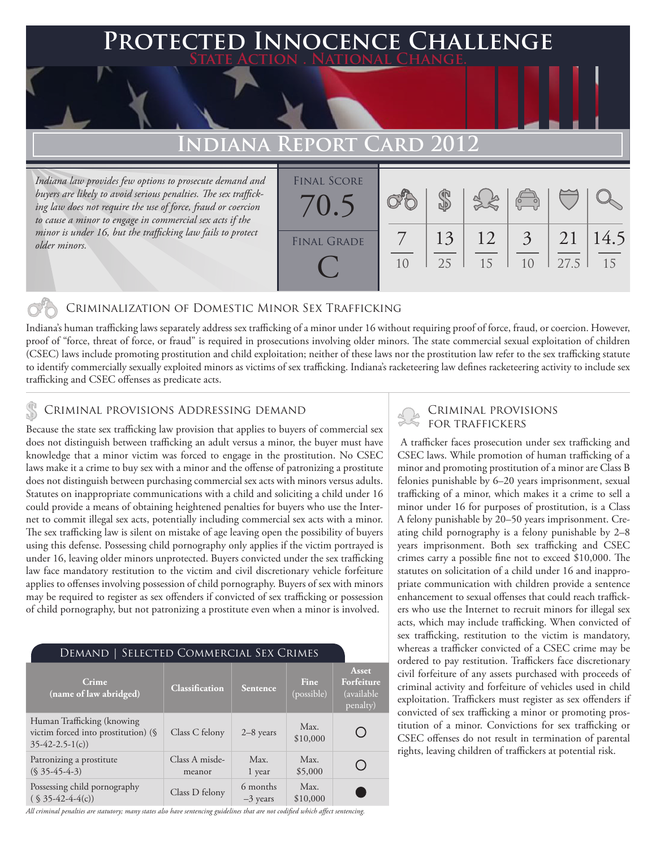### **FED INNOCENCE CHALLENGE State Action . National Change.**

# **Indiana Report Card 2012**

*Indiana law provides few options to prosecute demand and buyers are likely to avoid serious penalties. The sex trafficking law does not require the use of force, fraud or coercion to cause a minor to engage in commercial sex acts if the minor is under 16, but the trafficking law fails to protect older minors.*

| <b>FINAL SCORE</b><br>70.5 |    |          |          | $\begin{pmatrix} 1 & 1 \\ 0 & 1 \end{pmatrix}$ |            |            |
|----------------------------|----|----------|----------|------------------------------------------------|------------|------------|
| <b>FINAL GRADE</b>         | 10 | 13<br>25 | 12<br>15 | $\overline{3}$<br>1 <sub>0</sub>               | 21<br>27.5 | 14.5<br>15 |

#### Criminalization of Domestic Minor Sex Trafficking

Indiana's human trafficking laws separately address sex trafficking of a minor under 16 without requiring proof of force, fraud, or coercion. However, proof of "force, threat of force, or fraud" is required in prosecutions involving older minors. The state commercial sexual exploitation of children (CSEC) laws include promoting prostitution and child exploitation; neither of these laws nor the prostitution law refer to the sex trafficking statute to identify commercially sexually exploited minors as victims of sex trafficking. Indiana's racketeering law defines racketeering activity to include sex trafficking and CSEC offenses as predicate acts.

### Criminal provisions Addressing demand

Because the state sex trafficking law provision that applies to buyers of commercial sex does not distinguish between trafficking an adult versus a minor, the buyer must have knowledge that a minor victim was forced to engage in the prostitution. No CSEC laws make it a crime to buy sex with a minor and the offense of patronizing a prostitute does not distinguish between purchasing commercial sex acts with minors versus adults. Statutes on inappropriate communications with a child and soliciting a child under 16 could provide a means of obtaining heightened penalties for buyers who use the Internet to commit illegal sex acts, potentially including commercial sex acts with a minor. The sex trafficking law is silent on mistake of age leaving open the possibility of buyers using this defense. Possessing child pornography only applies if the victim portrayed is under 16, leaving older minors unprotected. Buyers convicted under the sex trafficking law face mandatory restitution to the victim and civil discretionary vehicle forfeiture applies to offenses involving possession of child pornography. Buyers of sex with minors may be required to register as sex offenders if convicted of sex trafficking or possession of child pornography, but not patronizing a prostitute even when a minor is involved.

| DEMAND   SELECTED COMMERCIAL SEX CRIMES                                               |                          |                        |                           |                                                |  |  |  |  |
|---------------------------------------------------------------------------------------|--------------------------|------------------------|---------------------------|------------------------------------------------|--|--|--|--|
| Crime<br>(name of law abridged)                                                       | Classification           | <b>Sentence</b>        | <b>Fine</b><br>(possible) | Asset<br>Forfeiture<br>(available)<br>penalty) |  |  |  |  |
| Human Trafficking (knowing<br>victim forced into prostitution) (§<br>$35-42-2.5-1(c)$ | Class C felony           | $2-8$ years            | Max.<br>\$10,000          |                                                |  |  |  |  |
| Patronizing a prostitute<br>$(S\,35-45-4-3)$                                          | Class A misde-<br>meanor | Max.<br>1 year         | Max.<br>\$5,000           |                                                |  |  |  |  |
| Possessing child pornography<br>$(S \ 35-42-4-4(c))$                                  | Class D felony           | 6 months<br>$-3$ years | Max.<br>\$10,000          |                                                |  |  |  |  |

Criminal provisions

 A trafficker faces prosecution under sex trafficking and CSEC laws. While promotion of human trafficking of a minor and promoting prostitution of a minor are Class B felonies punishable by 6–20 years imprisonment, sexual trafficking of a minor, which makes it a crime to sell a minor under 16 for purposes of prostitution, is a Class A felony punishable by 20–50 years imprisonment. Creating child pornography is a felony punishable by 2–8 years imprisonment. Both sex trafficking and CSEC crimes carry a possible fine not to exceed \$10,000. The statutes on solicitation of a child under 16 and inappropriate communication with children provide a sentence enhancement to sexual offenses that could reach traffickers who use the Internet to recruit minors for illegal sex acts, which may include trafficking. When convicted of sex trafficking, restitution to the victim is mandatory, whereas a trafficker convicted of a CSEC crime may be ordered to pay restitution. Traffickers face discretionary civil forfeiture of any assets purchased with proceeds of criminal activity and forfeiture of vehicles used in child exploitation. Traffickers must register as sex offenders if convicted of sex trafficking a minor or promoting prostitution of a minor. Convictions for sex trafficking or CSEC offenses do not result in termination of parental rights, leaving children of traffickers at potential risk.

*All criminal penalties are statutory; many states also have sentencing guidelines that are not codified which affect sentencing.*